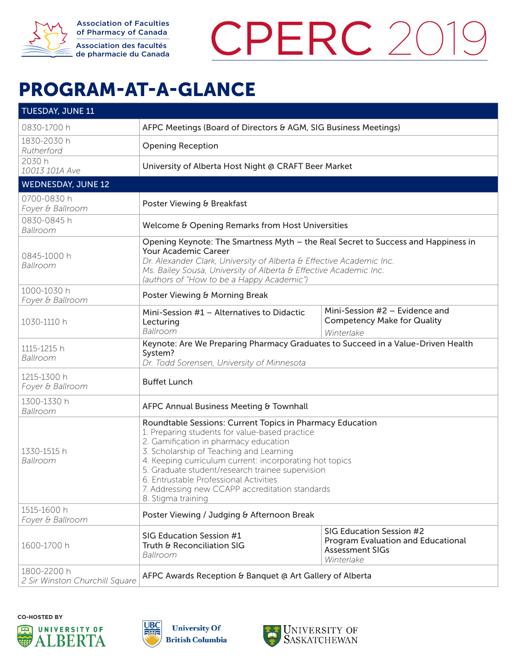

Association of Faculties of Pharmacy of Canada Association des facultés de pharmacie du Canada



## PROGRAM-AT-A-GLANCE PROGRAM-AT-A-GLANCE

| <b>TUESDAY, JUNE 11</b>                       |                                                                                                                                                                                                                                                                                                                                                                                                                                   |                                                                                                        |  |
|-----------------------------------------------|-----------------------------------------------------------------------------------------------------------------------------------------------------------------------------------------------------------------------------------------------------------------------------------------------------------------------------------------------------------------------------------------------------------------------------------|--------------------------------------------------------------------------------------------------------|--|
| 0830-1700 h                                   | AFPC Meetings (Board of Directors & AGM, SIG Business Meetings)                                                                                                                                                                                                                                                                                                                                                                   |                                                                                                        |  |
| 1830-2030 h<br>Rutherford                     | <b>Opening Reception</b>                                                                                                                                                                                                                                                                                                                                                                                                          |                                                                                                        |  |
| 2030 h<br>10013 101A Ave                      | University of Alberta Host Night @ CRAFT Beer Market                                                                                                                                                                                                                                                                                                                                                                              |                                                                                                        |  |
| <b>WEDNESDAY, JUNE 12</b>                     |                                                                                                                                                                                                                                                                                                                                                                                                                                   |                                                                                                        |  |
| 0700-0830 h<br>Foyer & Ballroom               | Poster Viewing & Breakfast                                                                                                                                                                                                                                                                                                                                                                                                        |                                                                                                        |  |
| 0830-0845 h<br>Ballroom                       | Welcome & Opening Remarks from Host Universities                                                                                                                                                                                                                                                                                                                                                                                  |                                                                                                        |  |
| 0845-1000 h<br>Ballroom                       | Opening Keynote: The Smartness Myth - the Real Secret to Success and Happiness in<br>Your Academic Career<br>Dr. Alexander Clark, University of Alberta & Effective Academic Inc.<br>Ms. Bailey Sousa, University of Alberta & Effective Academic Inc.<br>(authors of "How to be a Happy Academic")                                                                                                                               |                                                                                                        |  |
| 1000-1030 h<br>Foyer & Ballroom               | Poster Viewing & Morning Break                                                                                                                                                                                                                                                                                                                                                                                                    |                                                                                                        |  |
| 1030-1110 h                                   | Mini-Session #1 - Alternatives to Didactic<br>Lecturing<br>Ballroom                                                                                                                                                                                                                                                                                                                                                               | Mini-Session $#2$ – Evidence and<br><b>Competency Make for Quality</b><br>Winterlake                   |  |
| 1115-1215 h<br>Ballroom                       | Keynote: Are We Preparing Pharmacy Graduates to Succeed in a Value-Driven Health<br>System?<br>Dr. Todd Sorensen, University of Minnesota                                                                                                                                                                                                                                                                                         |                                                                                                        |  |
| 1215-1300 h<br>Foyer & Ballroom               | <b>Buffet Lunch</b>                                                                                                                                                                                                                                                                                                                                                                                                               |                                                                                                        |  |
| 1300-1330 h<br>Ballroom                       | AFPC Annual Business Meeting & Townhall                                                                                                                                                                                                                                                                                                                                                                                           |                                                                                                        |  |
| 1330-1515 h<br>Ballroom                       | Roundtable Sessions: Current Topics in Pharmacy Education<br>1. Preparing students for value-based practice<br>2. Gamification in pharmacy education<br>3. Scholarship of Teaching and Learning<br>4. Keeping curriculum current: incorporating hot topics<br>5. Graduate student/research trainee supervision<br>6. Entrustable Professional Activities<br>7. Addressing new CCAPP accreditation standards<br>8. Stigma training |                                                                                                        |  |
| 1515-1600 h<br>Foyer & Ballroom               | Poster Viewing / Judging & Afternoon Break                                                                                                                                                                                                                                                                                                                                                                                        |                                                                                                        |  |
| 1600-1700 h                                   | SIG Education Session #1<br>Truth & Reconciliation SIG<br>Ballroom                                                                                                                                                                                                                                                                                                                                                                | SIG Education Session #2<br>Program Evaluation and Educational<br><b>Assessment SIGs</b><br>Winterlake |  |
| 1800-2200 h<br>2 Sir Winston Churchill Square | AFPC Awards Reception & Banquet @ Art Gallery of Alberta                                                                                                                                                                                                                                                                                                                                                                          |                                                                                                        |  |